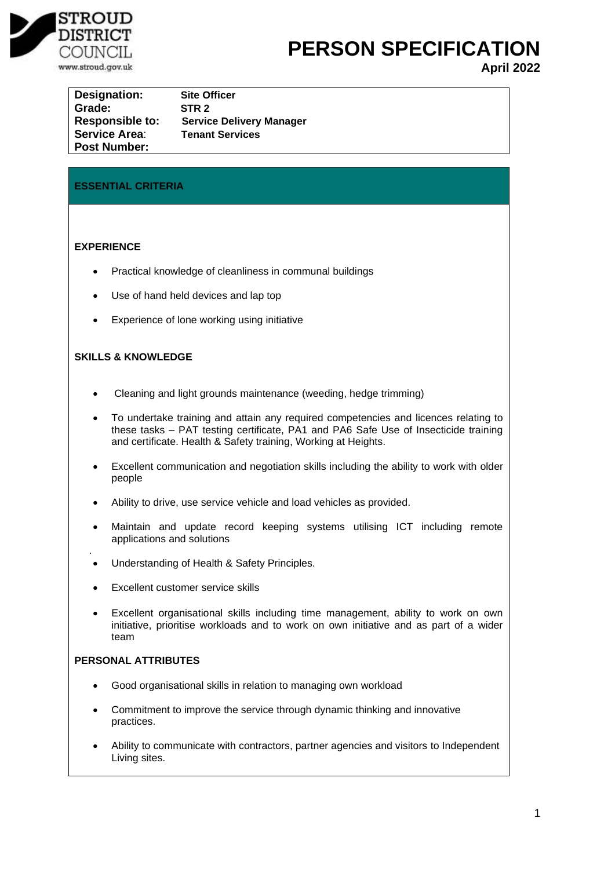

**PERSON SPECIFICATION** 

**April 2022**

**Designation: Site Officer Grade: STR 2 Responsible to: Service Delivery Manager Service Area**: **Tenant Services Post Number:**

# **ESSENTIAL CRITERIA**

## **EXPERIENCE**

- Practical knowledge of cleanliness in communal buildings
- Use of hand held devices and lap top
- Experience of lone working using initiative

## **SKILLS & KNOWLEDGE**

- Cleaning and light grounds maintenance (weeding, hedge trimming)
- To undertake training and attain any required competencies and licences relating to these tasks – PAT testing certificate, PA1 and PA6 Safe Use of Insecticide training and certificate. Health & Safety training, Working at Heights.
- Excellent communication and negotiation skills including the ability to work with older people
- Ability to drive, use service vehicle and load vehicles as provided.
- Maintain and update record keeping systems utilising ICT including remote applications and solutions
- Understanding of Health & Safety Principles.
- **Excellent customer service skills**
- Excellent organisational skills including time management, ability to work on own initiative, prioritise workloads and to work on own initiative and as part of a wider team

## **PERSONAL ATTRIBUTES**

.

- Good organisational skills in relation to managing own workload
- Commitment to improve the service through dynamic thinking and innovative practices.
- Ability to communicate with contractors, partner agencies and visitors to Independent Living sites.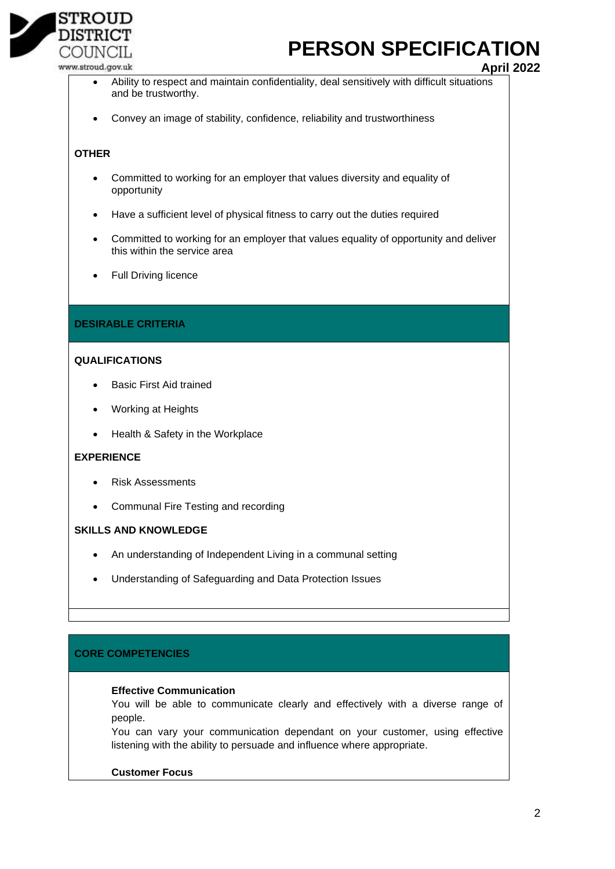

# **PERSON SPECIFICATION**

www.stroud.gov.uk

**April 2022**

- Ability to respect and maintain confidentiality, deal sensitively with difficult situations and be trustworthy.
- Convey an image of stability, confidence, reliability and trustworthiness

### **OTHER**

- Committed to working for an employer that values diversity and equality of opportunity
- Have a sufficient level of physical fitness to carry out the duties required
- Committed to working for an employer that values equality of opportunity and deliver this within the service area
- Full Driving licence

## **DESIRABLE CRITERIA**

## **QUALIFICATIONS**

- **Basic First Aid trained**
- Working at Heights
- Health & Safety in the Workplace

#### **EXPERIENCE**

- Risk Assessments
- Communal Fire Testing and recording

#### **SKILLS AND KNOWLEDGE**

- An understanding of Independent Living in a communal setting
- Understanding of Safeguarding and Data Protection Issues

## **CORE COMPETENCIES**

#### **Effective Communication**

You will be able to communicate clearly and effectively with a diverse range of people.

You can vary your communication dependant on your customer, using effective listening with the ability to persuade and influence where appropriate.

## **Customer Focus**